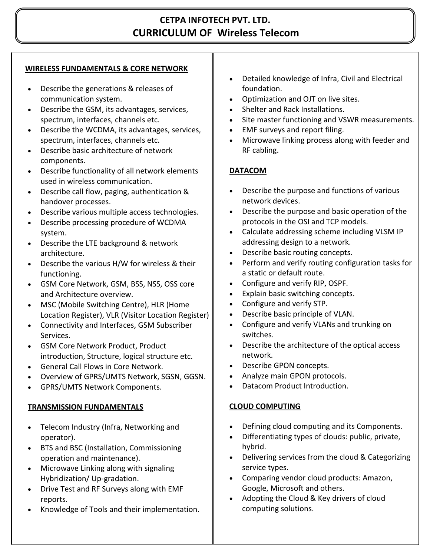# **CETPA INFOTECH PVT. LTD. CURRICULUM OF Wireless Telecom**

#### **WIRELESS FUNDAMENTALS & CORE NETWORK**

- Describe the generations & releases of communication system.
- Describe the GSM, its advantages, services, spectrum, interfaces, channels etc.
- Describe the WCDMA, its advantages, services, spectrum, interfaces, channels etc.
- Describe basic architecture of network components.
- Describe functionality of all network elements used in wireless communication.
- Describe call flow, paging, authentication & handover processes.
- Describe various multiple access technologies.
- Describe processing procedure of WCDMA system.
- Describe the LTE background & network architecture.
- Describe the various H/W for wireless & their functioning.
- GSM Core Network, GSM, BSS, NSS, OSS core and Architecture overview.
- MSC (Mobile Switching Centre), HLR (Home Location Register), VLR (Visitor Location Register)
- Connectivity and Interfaces, GSM Subscriber Services.
- GSM Core Network Product, Product introduction, Structure, logical structure etc.
- General Call Flows in Core Network.
- Overview of GPRS/UMTS Network, SGSN, GGSN.
- GPRS/UMTS Network Components.

## **TRANSMISSION FUNDAMENTALS**

- Telecom Industry (Infra, Networking and operator).
- BTS and BSC (Installation, Commissioning operation and maintenance).
- Microwave Linking along with signaling Hybridization/ Up-gradation.
- Drive Test and RF Surveys along with EMF reports.
- Knowledge of Tools and their implementation.
- Detailed knowledge of Infra, Civil and Electrical foundation.
- Optimization and OJT on live sites.
- Shelter and Rack Installations.
- Site master functioning and VSWR measurements.
- EMF surveys and report filing.
- Microwave linking process along with feeder and RF cabling.

## **DATACOM**

- Describe the purpose and functions of various network devices.
- Describe the purpose and basic operation of the protocols in the OSI and TCP models.
- Calculate addressing scheme including VLSM IP addressing design to a network.
- Describe basic routing concepts.
- Perform and verify routing configuration tasks for a static or default route.
- Configure and verify RIP, OSPF.
- Explain basic switching concepts.
- Configure and verify STP.
- Describe basic principle of VLAN.
- Configure and verify VLANs and trunking on switches.
- Describe the architecture of the optical access network.
- Describe GPON concepts.
- Analyze main GPON protocols.
- Datacom Product Introduction.

## **CLOUD COMPUTING**

- Defining cloud computing and its Components.
- Differentiating types of clouds: public, private, hybrid.
- Delivering services from the cloud & Categorizing service types.
- Comparing vendor cloud products: Amazon, Google, Microsoft and others.
- Adopting the Cloud & Key drivers of cloud computing solutions.